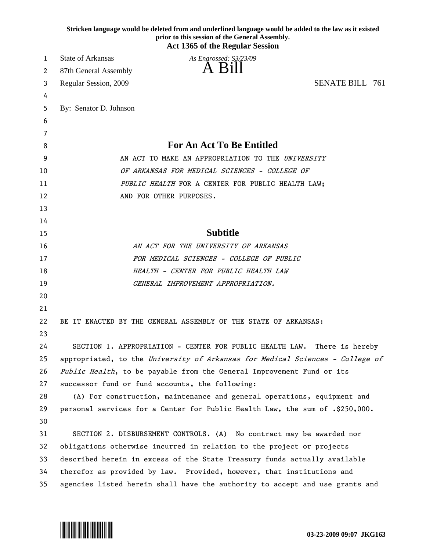|    | Stricken language would be deleted from and underlined language would be added to the law as it existed<br>prior to this session of the General Assembly.<br><b>Act 1365 of the Regular Session</b> |
|----|-----------------------------------------------------------------------------------------------------------------------------------------------------------------------------------------------------|
| 1  | <b>State of Arkansas</b><br>As Engrossed: S3/23/09                                                                                                                                                  |
| 2  | A Bill<br>87th General Assembly                                                                                                                                                                     |
| 3  | <b>SENATE BILL 761</b><br>Regular Session, 2009                                                                                                                                                     |
| 4  |                                                                                                                                                                                                     |
| 5  | By: Senator D. Johnson                                                                                                                                                                              |
| 6  |                                                                                                                                                                                                     |
| 7  |                                                                                                                                                                                                     |
| 8  | <b>For An Act To Be Entitled</b>                                                                                                                                                                    |
| 9  | AN ACT TO MAKE AN APPROPRIATION TO THE UNIVERSITY                                                                                                                                                   |
| 10 | OF ARKANSAS FOR MEDICAL SCIENCES - COLLEGE OF                                                                                                                                                       |
| 11 | PUBLIC HEALTH FOR A CENTER FOR PUBLIC HEALTH LAW;                                                                                                                                                   |
| 12 | AND FOR OTHER PURPOSES.                                                                                                                                                                             |
| 13 |                                                                                                                                                                                                     |
| 14 |                                                                                                                                                                                                     |
| 15 | <b>Subtitle</b>                                                                                                                                                                                     |
| 16 | AN ACT FOR THE UNIVERSITY OF ARKANSAS                                                                                                                                                               |
| 17 | FOR MEDICAL SCIENCES - COLLEGE OF PUBLIC                                                                                                                                                            |
| 18 | HEALTH - CENTER FOR PUBLIC HEALTH LAW                                                                                                                                                               |
| 19 | GENERAL IMPROVEMENT APPROPRIATION.                                                                                                                                                                  |
| 20 |                                                                                                                                                                                                     |
| 21 |                                                                                                                                                                                                     |
| 22 | BE IT ENACTED BY THE GENERAL ASSEMBLY OF THE STATE OF ARKANSAS:                                                                                                                                     |
| 23 |                                                                                                                                                                                                     |
| 24 | SECTION 1. APPROPRIATION - CENTER FOR PUBLIC HEALTH LAW. There is hereby                                                                                                                            |
| 25 | appropriated, to the University of Arkansas for Medical Sciences - College of                                                                                                                       |
| 26 | Public Health, to be payable from the General Improvement Fund or its                                                                                                                               |
| 27 | successor fund or fund accounts, the following:                                                                                                                                                     |
| 28 | (A) For construction, maintenance and general operations, equipment and                                                                                                                             |
| 29 | personal services for a Center for Public Health Law, the sum of .\$250,000.                                                                                                                        |
| 30 |                                                                                                                                                                                                     |
| 31 | SECTION 2. DISBURSEMENT CONTROLS. (A) No contract may be awarded nor                                                                                                                                |
| 32 | obligations otherwise incurred in relation to the project or projects                                                                                                                               |
| 33 | described herein in excess of the State Treasury funds actually available                                                                                                                           |
| 34 | therefor as provided by law. Provided, however, that institutions and                                                                                                                               |
| 35 | agencies listed herein shall have the authority to accept and use grants and                                                                                                                        |